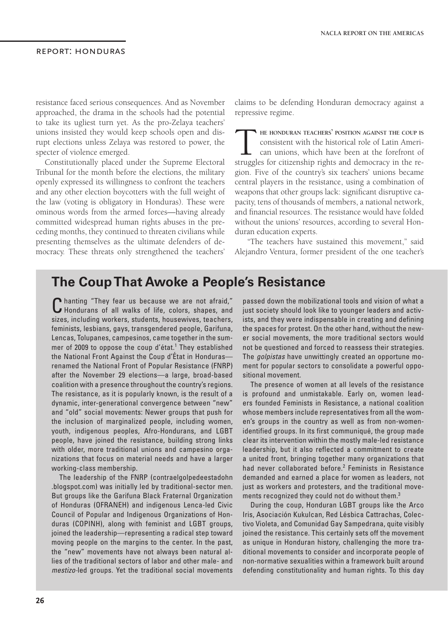resistance faced serious consequences. And as November approached, the drama in the schools had the potential to take its ugliest turn yet. As the pro-Zelaya teachers' unions insisted they would keep schools open and disrupt elections unless Zelaya was restored to power, the specter of violence emerged.

Constitutionally placed under the Supreme Electoral Tribunal for the month before the elections, the military openly expressed its willingness to confront the teachers and any other election boycotters with the full weight of the law (voting is obligatory in Honduras). These were ominous words from the armed forces—having already committed widespread human rights abuses in the preceding months, they continued to threaten civilians while presenting themselves as the ultimate defenders of democracy. These threats only strengthened the teachers'

claims to be defending Honduran democracy against a repressive regime.

T **he honduran teachers' position against the coup is** consistent with the historical role of Latin American unions, which have been at the forefront of struggles for citizenship rights and democracy in the region. Five of the country's six teachers' unions became central players in the resistance, using a combination of weapons that other groups lack: significant disruptive capacity, tens of thousands of members, a national network, and financial resources. The resistance would have folded without the unions' resources, according to several Honduran education experts.

 "The teachers have sustained this movement," said Alejandro Ventura, former president of the one teacher's

# **The Coup That Awoke a People's Resistance**

Chanting "They fear us because we are not afraid," Hondurans of all walks of life, colors, shapes, and sizes, including workers, students, housewives, teachers, feminists, lesbians, gays, transgendered people, Garifuna, Lencas, Tolupanes, campesinos, came together in the summer of 2009 to oppose the coup d'état.<sup>1</sup> They established the National Front Against the Coup d'État in Honduras renamed the National Front of Popular Resistance (FNRP) after the November 29 elections—a large, broad-based coalition with a presence throughout the country's regions. The resistance, as it is popularly known, is the result of a dynamic, inter-generational convergence between "new" and "old" social movements: Newer groups that push for the inclusion of marginalized people, including women, youth, indigenous peoples, Afro-Hondurans, and LGBT people, have joined the resistance, building strong links with older, more traditional unions and campesino organizations that focus on material needs and have a larger working-class membership.

The leadership of the FNRP (contraelgolpedeestadohn .blogspot.com) was initially led by traditional-sector men. But groups like the Garifuna Black Fraternal Organization of Honduras (OFRANEH) and indigenous Lenca-led Civic Council of Popular and Indigenous Organizations of Honduras (COPINH), along with feminist and LGBT groups, joined the leadership—representing a radical step toward moving people on the margins to the center. In the past, the "new" movements have not always been natural allies of the traditional sectors of labor and other male- and *mestizo-*led groups. Yet the traditional social movements

passed down the mobilizational tools and vision of what a just society should look like to younger leaders and activists, and they were indispensable in creating and defining the spaces for protest. On the other hand, without the newer social movements, the more traditional sectors would not be questioned and forced to reassess their strategies. The *golpistas* have unwittingly created an opportune moment for popular sectors to consolidate a powerful oppositional movement.

The presence of women at all levels of the resistance is profound and unmistakable. Early on, women leaders founded Feminists in Resistance, a national coalition whose members include representatives from all the women's groups in the country as well as from non-womenidentified groups. In its first communiqué, the group made clear its intervention within the mostly male-led resistance leadership, but it also reflected a commitment to create a united front, bringing together many organizations that had never collaborated before.2 Feminists in Resistance demanded and earned a place for women as leaders, not just as workers and protesters, and the traditional movements recognized they could not do without them.<sup>3</sup>

During the coup, Honduran LGBT groups like the Arco Iris, Asociación Kukulcan, Red Lésbica Cattrachas, Colectivo Violeta, and Comunidad Gay Sampedrana, quite visibly joined the resistance. This certainly sets off the movement as unique in Honduran history, challenging the more traditional movements to consider and incorporate people of non-normative sexualities within a framework built around defending constitutionality and human rights. To this day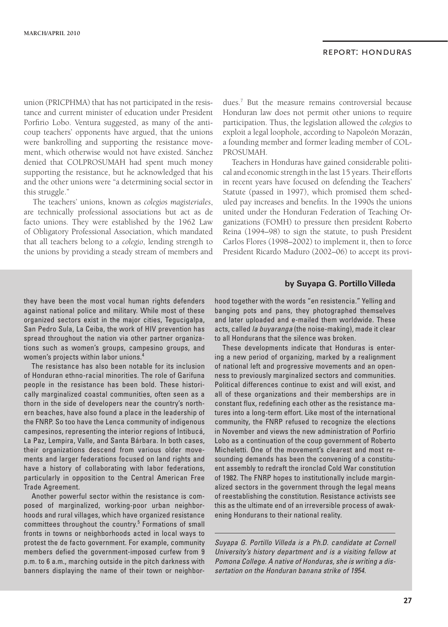union (PRICPHMA) that has not participated in the resistance and current minister of education under President Porfirio Lobo. Ventura suggested, as many of the anticoup teachers' opponents have argued, that the unions were bankrolling and supporting the resistance movement, which otherwise would not have existed. Sánchez denied that COLPROSUMAH had spent much money supporting the resistance, but he acknowledged that his and the other unions were "a determining social sector in this struggle."

The teachers' unions, known as *colegios magisteriales*, are technically professional associations but act as de facto unions. They were established by the 1962 Law of Obligatory Professional Association, which mandated that all teachers belong to a *colegio*, lending strength to the unions by providing a steady stream of members and

dues.7 But the measure remains controversial because Honduran law does not permit other unions to require participation. Thus, the legislation allowed the *colegios* to exploit a legal loophole, according to Napoleón Morazán, a founding member and former leading member of COL-PROSUMAH.

Teachers in Honduras have gained considerable political and economic strength in the last 15 years. Their efforts in recent years have focused on defending the Teachers' Statute (passed in 1997), which promised them scheduled pay increases and benefits. In the 1990s the unions united under the Honduran Federation of Teaching Organizations (FOMH) to pressure then president Roberto Reina (1994–98) to sign the statute, to push President Carlos Flores (1998–2002) to implement it, then to force President Ricardo Maduro (2002–06) to accept its provi-

## **by Suyapa G. Portillo Villeda**

they have been the most vocal human rights defenders against national police and military. While most of these organized sectors exist in the major cities, Tegucigalpa, San Pedro Sula, La Ceiba, the work of HIV prevention has spread throughout the nation via other partner organizations such as women's groups, campesino groups, and women's projects within labor unions.4

The resistance has also been notable for its inclusion of Honduran ethno-racial minorities. The role of Garifuna people in the resistance has been bold. These historically marginalized coastal communities, often seen as a thorn in the side of developers near the country's northern beaches, have also found a place in the leadership of the FNRP. So too have the Lenca community of indigenous campesinos, representing the interior regions of Intibucá, La Paz, Lempira, Valle, and Santa Bárbara. In both cases, their organizations descend from various older movements and larger federations focused on land rights and have a history of collaborating with labor federations, particularly in opposition to the Central American Free Trade Agreement.

Another powerful sector within the resistance is composed of marginalized, working-poor urban neighborhoods and rural villages, which have organized resistance committees throughout the country.<sup>5</sup> Formations of small fronts in towns or neighborhoods acted in local ways to protest the de facto government. For example, community members defied the government-imposed curfew from 9 p.m. to 6 a.m., marching outside in the pitch darkness with banners displaying the name of their town or neighborhood together with the words "en resistencia." Yelling and banging pots and pans, they photographed themselves and later uploaded and e-mailed them worldwide. These acts, called *la buyaranga* (the noise-making), made it clear to all Hondurans that the silence was broken.

These developments indicate that Honduras is entering a new period of organizing, marked by a realignment of national left and progressive movements and an openness to previously marginalized sectors and communities. Political differences continue to exist and will exist, and all of these organizations and their memberships are in constant flux, redefining each other as the resistance matures into a long-term effort. Like most of the international community, the FNRP refused to recognize the elections in November and views the new administration of Porfirio Lobo as a continuation of the coup government of Roberto Micheletti. One of the movement's clearest and most resounding demands has been the convening of a constituent assembly to redraft the ironclad Cold War constitution of 1982. The FNRP hopes to institutionally include marginalized sectors in the government through the legal means of reestablishing the constitution. Resistance activists see this as the ultimate end of an irreversible process of awakening Hondurans to their national reality.

*Suyapa G. Portillo Villeda is a Ph.D. candidate at Cornell University's history department and is a visiting fellow at Pomona College. A native of Honduras, she is writing a dissertation on the Honduran banana strike of 1954.*